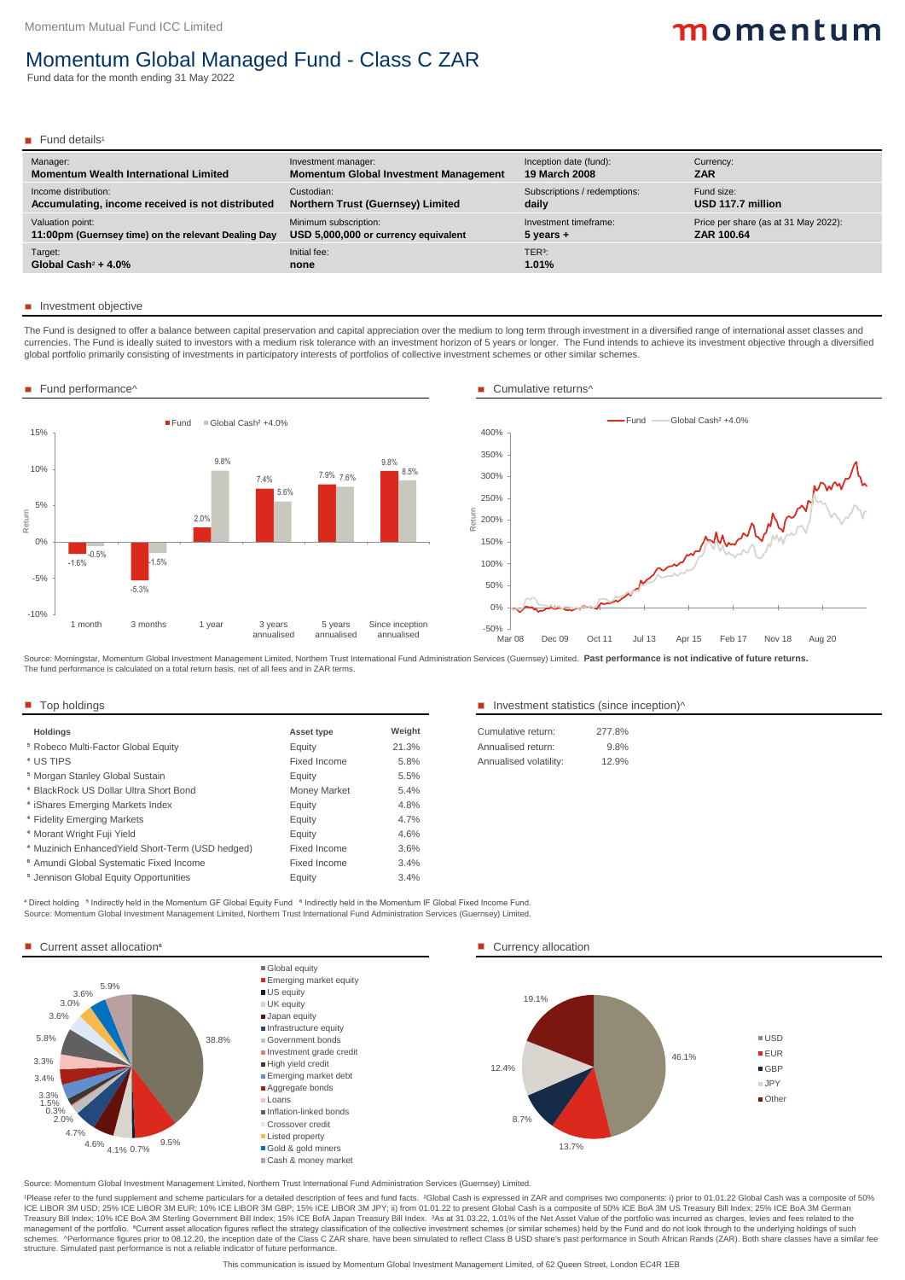Source: Momentum Global Investment Management Limited, Northern Trust International Fund Administration Services (Guernsey) Limited.

1Please refer to the fund supplement and scheme particulars for a detailed description of fees and fund facts. <sup>2</sup>Global Cash is expressed in ZAR and comprises two components: i) prior to 01.01.22 Global Cash was a composi ICE LIBOR 3M USD; 25% ICE LIBOR 3M EUR; 10% ICE LIBOR 3M GBP; 15% ICE LIBOR 3M JPY; ii) from 01.01.22 to present Global Cash is a composite of 50% ICE BoA 3M US Treasury Bill Index; 25% ICE BoA 3M German Treasury Bill Index; 10% ICE BoA 3M Sterling Government Bill Index; 15% ICE BofA Japan Treasury Bill Index. 3As at 31.03.22, 1.01% of the Net Asset Value of the portfolio was incurred as charges, levies and fees related to management of the portfolio. <sup>6</sup>Current asset allocation figures reflect the strategy classification of the collective investment schemes (or similar schemes) held by the Fund and do not look through to the underlying hold schemes. ^Performance figures prior to 08.12.20, the inception date of the Class C ZAR share, have been simulated to reflect Class B USD share's past performance in South African Rands (ZAR). Both share classes have a simi structure. Simulated past performance is not a reliable indicator of future performance.

This communication is issued by Momentum Global Investment Management Limited, of 62 Queen Street, London EC4R 1EB

The Fund is designed to offer a balance between capital preservation and capital appreciation over the medium to long term through investment in a diversified range of international asset classes and currencies. The Fund is ideally suited to investors with a medium risk tolerance with an investment horizon of 5 years or longer. The Fund intends to achieve its investment objective through a diversified global portfolio primarily consisting of investments in participatory interests of portfolios of collective investment schemes or other similar schemes.

Source: Momentum Global Investment Management Limited, Northern Trust International Fund Administration Services (Guernsey) Limited. <sup>4</sup> Direct holding <sup>5</sup> Indirectly held in the Momentum GF Global Equity Fund <sup>6</sup> Indirectly held in the Momentum IF Global Fixed Income Fund.

#### Current asset allocation<sup>6</sup> and the currency allocation and the currency allocation

| Manager:                                            | Investment manager:                          | Inception date (fund):       | Currency:                            |
|-----------------------------------------------------|----------------------------------------------|------------------------------|--------------------------------------|
| <b>Momentum Wealth International Limited</b>        | <b>Momentum Global Investment Management</b> | <b>19 March 2008</b>         | <b>ZAR</b>                           |
| Income distribution:                                | Custodian:                                   | Subscriptions / redemptions: | Fund size:                           |
| Accumulating, income received is not distributed    | <b>Northern Trust (Guernsey) Limited</b>     | daily                        | USD 117.7 million                    |
| Valuation point:                                    | Minimum subscription:                        | Investment timeframe:        | Price per share (as at 31 May 2022): |
| 11:00pm (Guernsey time) on the relevant Dealing Day | USD 5,000,000 or currency equivalent         | $5$ years $+$                | ZAR 100.64                           |
| Target:                                             | Initial fee:                                 | TER <sup>3</sup> :           |                                      |
| Global Cash <sup>2</sup> + $4.0\%$                  | none                                         | 1.01%                        |                                      |

#### **Investment objective**

| <b>Asset type</b> | Weight | Cumulative return:     | 277.8% |
|-------------------|--------|------------------------|--------|
| Equity            | 21.3%  | Annualised return:     | 9.8%   |
| Fixed Income      | 5.8%   | Annualised volatility: | 12.9%  |
| Equity            | 5.5%   |                        |        |
| Money Market      | 5.4%   |                        |        |
| Equity            | 4.8%   |                        |        |
| Equity            | 4.7%   |                        |        |
| Equity            | 4.6%   |                        |        |
| Fixed Income      | 3.6%   |                        |        |
| Fixed Income      | 3.4%   |                        |        |
| Equity            | 3.4%   |                        |        |
|                   |        |                        |        |

#### Top holdings Top holdings Top holdings Investment statistics (since inception)<sup>^</sup>

| Cumulative return:     | 277.8%  |
|------------------------|---------|
| Annualised return:     | $9.8\%$ |
| Annualised volatility: | 12.9%   |

■**USD** ■EUR ■GBP ■ JPY ■ Other

Source: Morningstar, Momentum Global Investment Management Limited, Northern Trust International Fund Administration Services (Guernsey) Limited. **Past performance is not indicative of future returns.** The fund performance is calculated on a total return basis, net of all fees and in ZAR terms.

# momentum

## Momentum Global Managed Fund - Class C ZAR

Fund data for the month ending 31 May 2022

#### Fund details<sup>1</sup>





#### ■ Fund performance^ Cumulative returns<sup>^</sup>